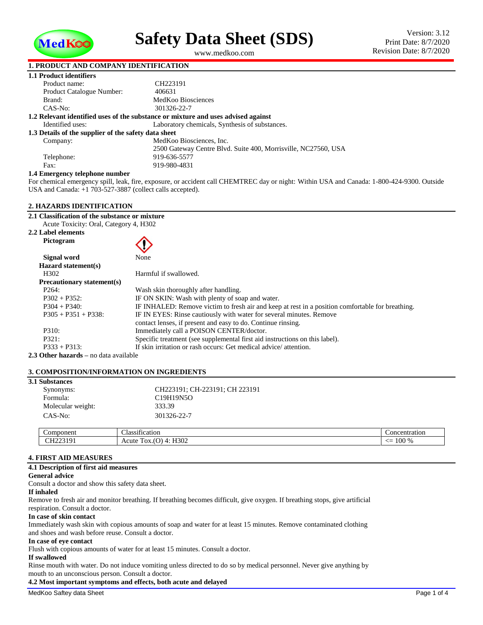

<span id="page-0-1"></span>**Safety Data Sheet (SDS)**

<span id="page-0-0"></span>www.medkoo.com

# **1. PRODUCT AND COMPANY IDENTIFICATION**

| 1.1 Product identifiers                                                           |                                                                |  |  |  |  |  |
|-----------------------------------------------------------------------------------|----------------------------------------------------------------|--|--|--|--|--|
| Product name:                                                                     | CH223191                                                       |  |  |  |  |  |
| Product Catalogue Number:                                                         | 406631                                                         |  |  |  |  |  |
| Brand:                                                                            | MedKoo Biosciences                                             |  |  |  |  |  |
| CAS-No:                                                                           | 301326-22-7                                                    |  |  |  |  |  |
| 1.2 Relevant identified uses of the substance or mixture and uses advised against |                                                                |  |  |  |  |  |
| Identified uses:                                                                  | Laboratory chemicals, Synthesis of substances.                 |  |  |  |  |  |
| 1.3 Details of the supplier of the safety data sheet                              |                                                                |  |  |  |  |  |
| Company:                                                                          | MedKoo Biosciences, Inc.                                       |  |  |  |  |  |
|                                                                                   | 2500 Gateway Centre Blyd. Suite 400, Morrisville, NC27560, USA |  |  |  |  |  |
| Telephone:                                                                        | 919-636-5577                                                   |  |  |  |  |  |
| Fax:                                                                              | 919-980-4831                                                   |  |  |  |  |  |
| 1.4 Emergency telephone number                                                    |                                                                |  |  |  |  |  |

#### **1.4 Emergency telephone number**

For chemical emergency spill, leak, fire, exposure, or accident call CHEMTREC day or night: Within USA and Canada: 1-800-424-9300. Outside USA and Canada: +1 703-527-3887 (collect calls accepted).

# **2. HAZARDS IDENTIFICATION**

**2.1 Classification of the substance or mixture** Acute Toxicity: Oral, Category 4, H302

**2.2 Label elements Pictogram**



| Signal word                       | None                                                                                             |
|-----------------------------------|--------------------------------------------------------------------------------------------------|
| Hazard statement(s)               |                                                                                                  |
| H <sub>302</sub>                  | Harmful if swallowed.                                                                            |
| <b>Precautionary statement(s)</b> |                                                                                                  |
| P <sub>264</sub> :                | Wash skin thoroughly after handling.                                                             |
| $P302 + P352$ :                   | IF ON SKIN: Wash with plenty of soap and water.                                                  |
| $P304 + P340$ :                   | IF INHALED: Remove victim to fresh air and keep at rest in a position comfortable for breathing. |
| $P305 + P351 + P338$ :            | IF IN EYES: Rinse cautiously with water for several minutes. Remove                              |
|                                   | contact lenses, if present and easy to do. Continue rinsing.                                     |
| P310:                             | Immediately call a POISON CENTER/doctor.                                                         |
| P321:                             | Specific treatment (see supplemental first aid instructions on this label).                      |
| $P333 + P313$ :                   | If skin irritation or rash occurs: Get medical advice/attention.                                 |
| Othor horonda no data available   |                                                                                                  |

**2.3 Other hazards –** no data available

# **3. COMPOSITION/INFORMATION ON INGREDIENTS**

| <b>3.1 Substances</b> |                   |                                |               |  |  |  |
|-----------------------|-------------------|--------------------------------|---------------|--|--|--|
|                       | Synonyms:         | CH223191; CH-223191; CH 223191 |               |  |  |  |
|                       | Formula:          | C19H19N5O                      |               |  |  |  |
|                       | Molecular weight: | 333.39                         |               |  |  |  |
|                       | CAS-No:           | 301326-22-7                    |               |  |  |  |
|                       |                   |                                |               |  |  |  |
|                       | Component         | Classification                 | Concentration |  |  |  |

|  | CH223191     | $\sim$<br>$\Lambda$                    |                       |
|--|--------------|----------------------------------------|-----------------------|
|  | . <i>. .</i> | H <sub>302</sub><br>Acute<br>Tox.<br>◡ | 100 %<br><u> / - </u> |
|  |              |                                        |                       |
|  |              |                                        |                       |

# **4. FIRST AID MEASURES**

**4.1 Description of first aid measures**

# **General advice**

Consult a doctor and show this safety data sheet.

## **If inhaled**

Remove to fresh air and monitor breathing. If breathing becomes difficult, give oxygen. If breathing stops, give artificial respiration. Consult a doctor.

# **In case of skin contact**

Immediately wash skin with copious amounts of soap and water for at least 15 minutes. Remove contaminated clothing and shoes and wash before reuse. Consult a doctor.

#### **In case of eye contact**

Flush with copious amounts of water for at least 15 minutes. Consult a doctor.

#### **If swallowed**

Rinse mouth with water. Do not induce vomiting unless directed to do so by medical personnel. Never give anything by mouth to an unconscious person. Consult a doctor.

# **4.2 Most important symptoms and effects, both acute and delayed**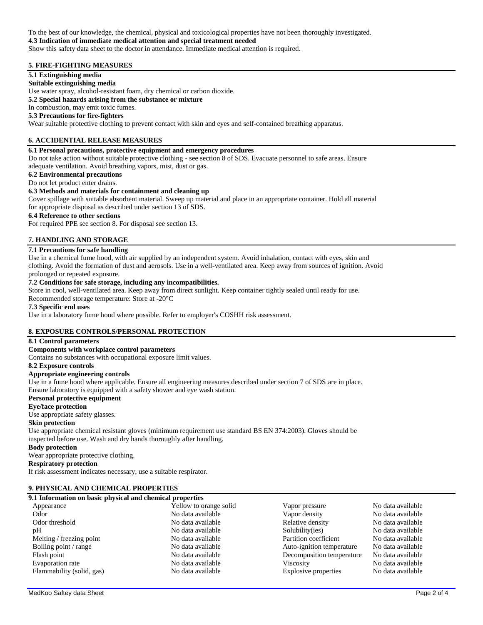### To the best of our knowledge, the chemical, physical and toxicological properties have not been thoroughly investigated. **4.3 Indication of immediate medical attention and special treatment needed** Show this safety data sheet to the doctor in attendance. Immediate medical attention is required.

# **5. FIRE-FIGHTING MEASURES**

# **5.1 Extinguishing media**

**Suitable extinguishing media**

Use water spray, alcohol-resistant foam, dry chemical or carbon dioxide.

**5.2 Special hazards arising from the substance or mixture**

In combustion, may emit toxic fumes.

# **5.3 Precautions for fire-fighters**

Wear suitable protective clothing to prevent contact with skin and eyes and self-contained breathing apparatus.

# **6. ACCIDENTIAL RELEASE MEASURES**

## **6.1 Personal precautions, protective equipment and emergency procedures**

Do not take action without suitable protective clothing - see section 8 of SDS. Evacuate personnel to safe areas. Ensure adequate ventilation. Avoid breathing vapors, mist, dust or gas.

## **6.2 Environmental precautions**

Do not let product enter drains.

# **6.3 Methods and materials for containment and cleaning up**

Cover spillage with suitable absorbent material. Sweep up material and place in an appropriate container. Hold all material for appropriate disposal as described under section 13 of SDS.

### **6.4 Reference to other sections**

For required PPE see section 8. For disposal see section 13.

# **7. HANDLING AND STORAGE**

## **7.1 Precautions for safe handling**

Use in a chemical fume hood, with air supplied by an independent system. Avoid inhalation, contact with eyes, skin and clothing. Avoid the formation of dust and aerosols. Use in a well-ventilated area. Keep away from sources of ignition. Avoid prolonged or repeated exposure.

## **7.2 Conditions for safe storage, including any incompatibilities.**

Store in cool, well-ventilated area. Keep away from direct sunlight. Keep container tightly sealed until ready for use.

Recommended storage temperature: Store at -20°C

## **7.3 Specific end uses**

Use in a laboratory fume hood where possible. Refer to employer's COSHH risk assessment.

# **8. EXPOSURE CONTROLS/PERSONAL PROTECTION**

## **8.1 Control parameters**

### **Components with workplace control parameters**

Contains no substances with occupational exposure limit values.

#### **8.2 Exposure controls**

### **Appropriate engineering controls**

Use in a fume hood where applicable. Ensure all engineering measures described under section 7 of SDS are in place. Ensure laboratory is equipped with a safety shower and eye wash station.

### **Personal protective equipment**

**Eye/face protection**

## Use appropriate safety glasses.

### **Skin protection**

Use appropriate chemical resistant gloves (minimum requirement use standard BS EN 374:2003). Gloves should be inspected before use. Wash and dry hands thoroughly after handling.

#### **Body protection**

Wear appropriate protective clothing.

## **Respiratory protection**

If risk assessment indicates necessary, use a suitable respirator.

# **9. PHYSICAL AND CHEMICAL PROPERTIES**

## **9.1 Information on basic physical and chemical properties**

| Yellow to orange solid | Vapor pressure            | No data available |
|------------------------|---------------------------|-------------------|
| No data available      | Vapor density             | No data available |
| No data available      | Relative density          | No data available |
| No data available      | Solubility(ies)           | No data available |
| No data available      | Partition coefficient     | No data available |
| No data available      | Auto-ignition temperature | No data available |
| No data available      | Decomposition temperature | No data available |
| No data available      | <b>Viscosity</b>          | No data available |
| No data available      | Explosive properties      | No data available |
|                        |                           |                   |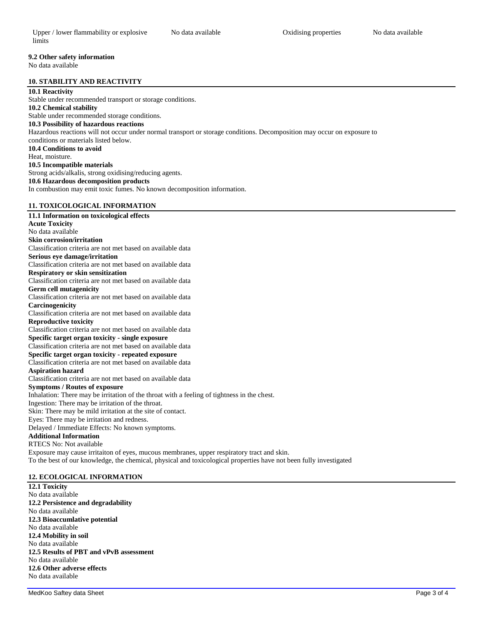# **9.2 Other safety information**

No data available

# **10. STABILITY AND REACTIVITY**

# **10.1 Reactivity**

Stable under recommended transport or storage conditions. **10.2 Chemical stability** Stable under recommended storage conditions. **10.3 Possibility of hazardous reactions** Hazardous reactions will not occur under normal transport or storage conditions. Decomposition may occur on exposure to conditions or materials listed below. **10.4 Conditions to avoid** Heat, moisture. **10.5 Incompatible materials** Strong acids/alkalis, strong oxidising/reducing agents. **10.6 Hazardous decomposition products** In combustion may emit toxic fumes. No known decomposition information. **11. TOXICOLOGICAL INFORMATION**

# **11.1 Information on toxicological effects Acute Toxicity** No data available **Skin corrosion/irritation** Classification criteria are not met based on available data **Serious eye damage/irritation** Classification criteria are not met based on available data **Respiratory or skin sensitization** Classification criteria are not met based on available data **Germ cell mutagenicity** Classification criteria are not met based on available data **Carcinogenicity** Classification criteria are not met based on available data **Reproductive toxicity** Classification criteria are not met based on available data **Specific target organ toxicity - single exposure** Classification criteria are not met based on available data **Specific target organ toxicity - repeated exposure** Classification criteria are not met based on available data **Aspiration hazard** Classification criteria are not met based on available data **Symptoms / Routes of exposure** Inhalation: There may be irritation of the throat with a feeling of tightness in the chest. Ingestion: There may be irritation of the throat. Skin: There may be mild irritation at the site of contact. Eyes: There may be irritation and redness. Delayed / Immediate Effects: No known symptoms. **Additional Information** RTECS No: Not available Exposure may cause irritaiton of eyes, mucous membranes, upper respiratory tract and skin. To the best of our knowledge, the chemical, physical and toxicological properties have not been fully investigated

## **12. ECOLOGICAL INFORMATION**

**12.1 Toxicity** No data available **12.2 Persistence and degradability** No data available **12.3 Bioaccumlative potential** No data available **12.4 Mobility in soil** No data available **12.5 Results of PBT and vPvB assessment** No data available **12.6 Other adverse effects** No data available